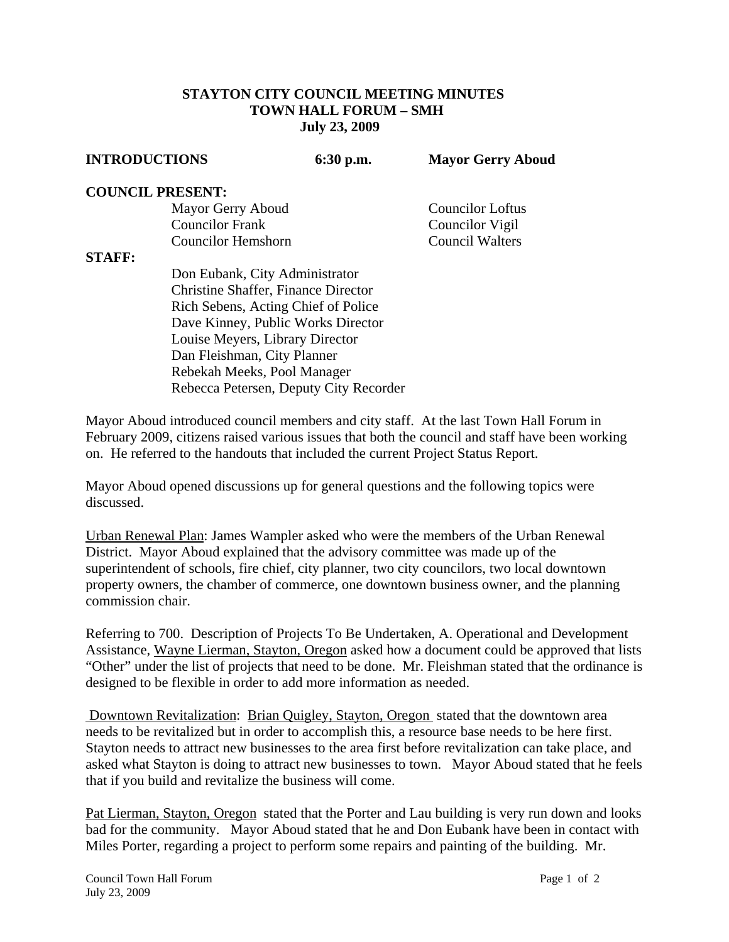## **STAYTON CITY COUNCIL MEETING MINUTES TOWN HALL FORUM – SMH July 23, 2009**

| <b>INTRODUCTIONS</b>      | $6:30$ p.m. | <b>Mayor Gerry Aboud</b> |
|---------------------------|-------------|--------------------------|
| <b>COUNCIL PRESENT:</b>   |             |                          |
| Mayor Gerry Aboud         |             | <b>Councilor Loftus</b>  |
| <b>Councilor Frank</b>    |             | Councilor Vigil          |
| <b>Councilor Hemshorn</b> |             | <b>Council Walters</b>   |

## **STAFF:**

Don Eubank, City Administrator Christine Shaffer, Finance Director Rich Sebens, Acting Chief of Police Dave Kinney, Public Works Director Louise Meyers, Library Director Dan Fleishman, City Planner Rebekah Meeks, Pool Manager Rebecca Petersen, Deputy City Recorder

Mayor Aboud introduced council members and city staff. At the last Town Hall Forum in February 2009, citizens raised various issues that both the council and staff have been working on. He referred to the handouts that included the current Project Status Report.

Mayor Aboud opened discussions up for general questions and the following topics were discussed.

Urban Renewal Plan: James Wampler asked who were the members of the Urban Renewal District. Mayor Aboud explained that the advisory committee was made up of the superintendent of schools, fire chief, city planner, two city councilors, two local downtown property owners, the chamber of commerce, one downtown business owner, and the planning commission chair.

Referring to 700. Description of Projects To Be Undertaken, A. Operational and Development Assistance, Wayne Lierman, Stayton, Oregon asked how a document could be approved that lists "Other" under the list of projects that need to be done. Mr. Fleishman stated that the ordinance is designed to be flexible in order to add more information as needed.

 Downtown Revitalization: Brian Quigley, Stayton, Oregon stated that the downtown area needs to be revitalized but in order to accomplish this, a resource base needs to be here first. Stayton needs to attract new businesses to the area first before revitalization can take place, and asked what Stayton is doing to attract new businesses to town. Mayor Aboud stated that he feels that if you build and revitalize the business will come.

Pat Lierman, Stayton, Oregon stated that the Porter and Lau building is very run down and looks bad for the community. Mayor Aboud stated that he and Don Eubank have been in contact with Miles Porter, regarding a project to perform some repairs and painting of the building. Mr.